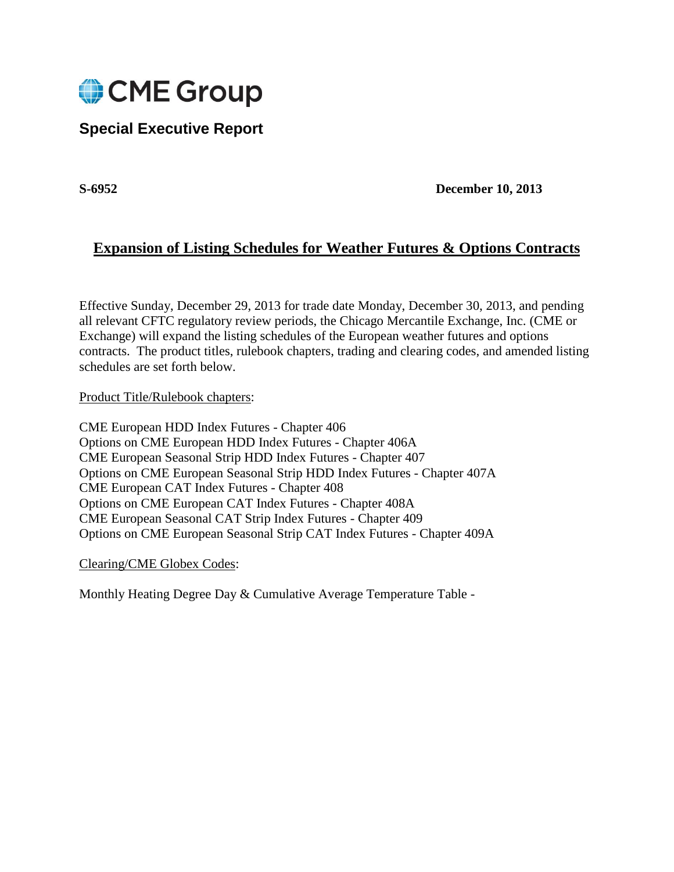

# **Special Executive Report**

**S-6952 December 10, 2013**

## **Expansion of Listing Schedules for Weather Futures & Options Contracts**

Effective Sunday, December 29, 2013 for trade date Monday, December 30, 2013, and pending all relevant CFTC regulatory review periods, the Chicago Mercantile Exchange, Inc. (CME or Exchange) will expand the listing schedules of the European weather futures and options contracts. The product titles, rulebook chapters, trading and clearing codes, and amended listing schedules are set forth below.

Product Title/Rulebook chapters:

CME European HDD Index Futures - Chapter 406 Options on CME European HDD Index Futures - Chapter 406A CME European Seasonal Strip HDD Index Futures - Chapter 407 Options on CME European Seasonal Strip HDD Index Futures - Chapter 407A CME European CAT Index Futures - Chapter 408 Options on CME European CAT Index Futures - Chapter 408A CME European Seasonal CAT Strip Index Futures - Chapter 409 Options on CME European Seasonal Strip CAT Index Futures - Chapter 409A

Clearing/CME Globex Codes:

Monthly Heating Degree Day & Cumulative Average Temperature Table -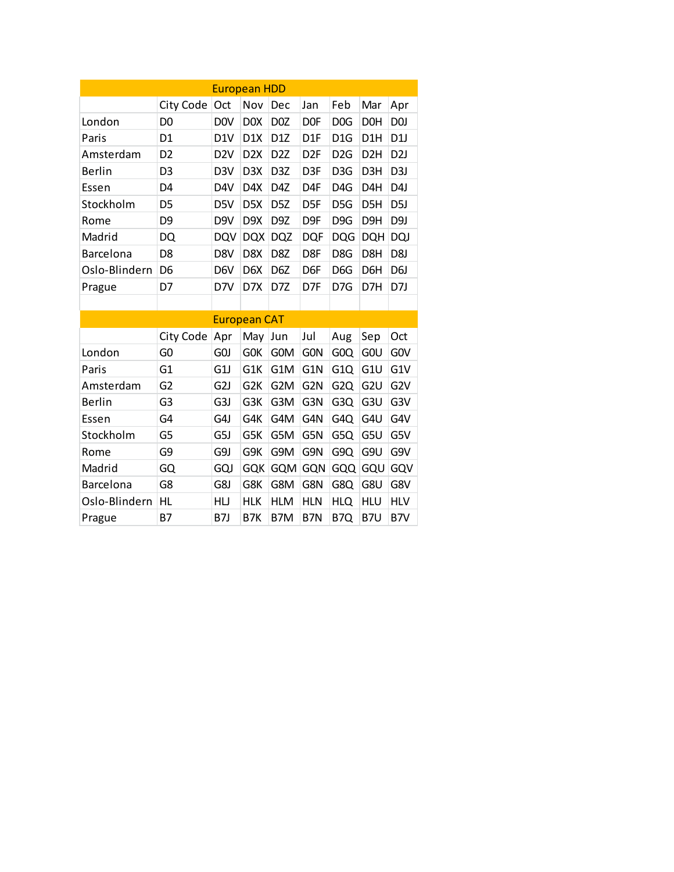|               |                | <b>European HDD</b> |                     |                  |                  |                  |                  |                  |
|---------------|----------------|---------------------|---------------------|------------------|------------------|------------------|------------------|------------------|
|               | City Code      | Oct                 | Nov                 | Dec              | Jan              | Feb              | Mar              | Apr              |
| London        | D <sub>0</sub> | <b>DOV</b>          | D <sub>0</sub> X    | D <sub>0</sub> Z | D <sub>OF</sub>  | D <sub>0</sub> G | D <sub>O</sub> H | D <sub>0</sub>   |
| Paris         | D1             | D <sub>1</sub> V    | D <sub>1</sub> X    | D <sub>1</sub> Z | D <sub>1</sub> F | D <sub>1</sub> G | D1H              | D <sub>1</sub>   |
| Amsterdam     | D <sub>2</sub> | D <sub>2</sub> V    | D <sub>2</sub> X    | D <sub>2</sub> Z | D <sub>2F</sub>  | D <sub>2</sub> G | D <sub>2</sub> H | D <sub>2</sub> J |
| Berlin        | D <sub>3</sub> | D <sub>3</sub> V    | D <sub>3</sub> X    | D <sub>3</sub> Z | D <sub>3F</sub>  | D <sub>3</sub> G | D3H              | D <sub>3</sub> J |
| Essen         | D4             | D4V                 | D4X                 | D4Z              | D <sub>4F</sub>  | D <sub>4</sub> G | D <sub>4</sub> H | D4J              |
| Stockholm     | D <sub>5</sub> | D5V                 | D <sub>5</sub> X    | D <sub>5</sub> Z | D <sub>5F</sub>  | D <sub>5</sub> G | D <sub>5</sub> H | D <sub>5</sub> J |
| Rome          | D <sub>9</sub> | D <sub>9V</sub>     | D <sub>9</sub> X    | D <sub>9</sub> Z | D <sub>9F</sub>  | D <sub>9G</sub>  | D <sub>9</sub> H | D <sub>9</sub> J |
| Madrid        | DQ             | <b>DQV</b>          | <b>DQX</b>          | <b>DQZ</b>       | <b>DQF</b>       | <b>DQG</b>       | DQH              | <b>DQJ</b>       |
| Barcelona     | D <sub>8</sub> | D8V                 | D8X                 | D8Z              | D8F              | D8G              | D8H              | D <sub>8</sub> J |
| Oslo-Blindern | D <sub>6</sub> | D <sub>6</sub> V    | D <sub>6</sub> X    | D <sub>6</sub> Z | D <sub>6F</sub>  | D <sub>6</sub> G | D <sub>6</sub> H | D6J              |
| Prague        | D7             | D7V                 | D7X                 | D7Z              | D7F              | D7G              | D7H              | D7J              |
|               |                |                     |                     |                  |                  |                  |                  |                  |
|               |                |                     | <b>European CAT</b> |                  |                  |                  |                  |                  |
|               | City Code      | Apr                 | May                 | Jun              | Jul              | Aug              | Sep              | Oct              |
| London        | G <sub>0</sub> | GOJ                 | GOK                 | G0M              | <b>GON</b>       | G <sub>0</sub> Q | GOU              | GOV              |
| Paris         | G1             | G1J                 | G1K                 | G1M              | G1N              | G <sub>1</sub> Q | G <sub>1U</sub>  | G1V              |
| Amsterdam     | G <sub>2</sub> | G <sub>2</sub> J    | G <sub>2</sub> K    | G <sub>2</sub> M | G <sub>2N</sub>  | G <sub>2</sub> Q | G <sub>2U</sub>  | G <sub>2V</sub>  |
| <b>Berlin</b> | G <sub>3</sub> | G3J                 | G3K                 | G3M              | G3N              | G3Q              | G3U              | G <sub>3</sub> V |
| Essen         | G4             | G4J                 | G4K                 | G4M              | G4N              | G4Q              | G4U              | G4V              |
| Stockholm     | G5             | G5J                 | G5K                 | G5M              | G5N              | G5Q              | G5U              | G5V              |
| Rome          | G9             | G9J                 | G9K                 | G9M              | G9N              | G9Q              | G9U              | G9V              |
| Madrid        | GQ             | GQJ                 | <b>GQK</b>          | <b>GQM</b>       | <b>GQN</b>       | GQQ              | GQU              | GQV              |
| Barcelona     | G8             | G8J                 | G8K                 | G8M              | G8N              | G8Q              | G8U              | G8V              |
| Oslo-Blindern | HL             | HU                  | <b>HLK</b>          | <b>HLM</b>       | <b>HLN</b>       | HLQ              | <b>HLU</b>       | <b>HLV</b>       |
| Prague        | Β7             | B7J                 | B7K                 | B7M              | B7N              | B7Q              | B7U              | B7V              |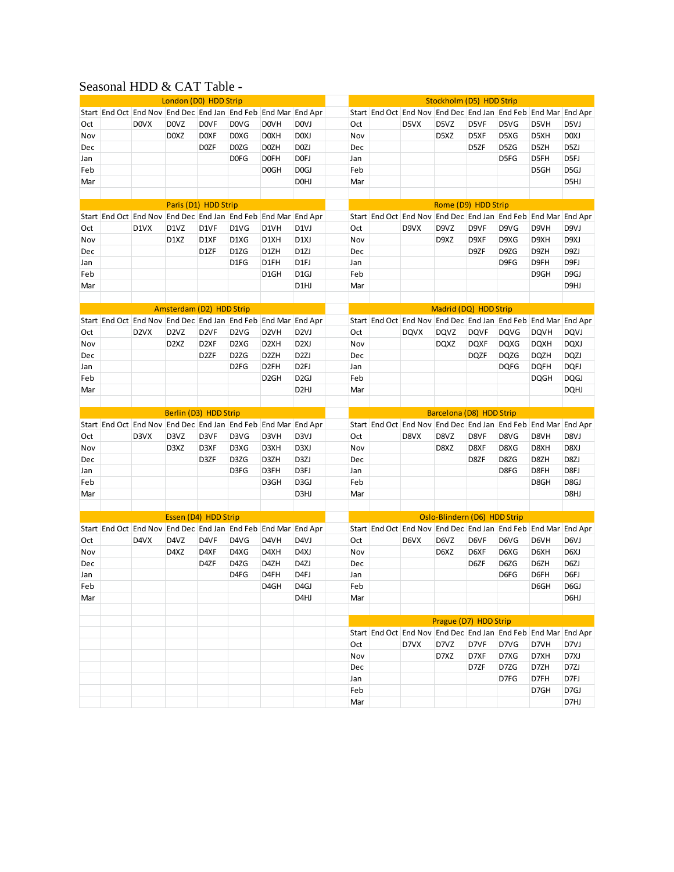## Seasonal HDD & CAT Table -

|     | London (D0) HDD Strip |                                                               |                               |                   |                               |                   | Stockholm (D5) HDD Strip |            |  |                                                               |                              |             |             |             |                   |
|-----|-----------------------|---------------------------------------------------------------|-------------------------------|-------------------|-------------------------------|-------------------|--------------------------|------------|--|---------------------------------------------------------------|------------------------------|-------------|-------------|-------------|-------------------|
|     |                       | Start End Oct End Nov End Dec End Jan End Feb End Mar End Apr |                               |                   |                               |                   |                          |            |  | Start End Oct End Nov End Dec End Jan End Feb End Mar End Apr |                              |             |             |             |                   |
| Oct |                       | <b>DOVX</b>                                                   | <b>DOVZ</b>                   | <b>DOVF</b>       | <b>DOVG</b>                   | <b>DOVH</b>       | <b>DOVJ</b>              | Oct        |  | D5VX                                                          | D5VZ                         | D5VF        | D5VG        | D5VH        | D5VJ              |
| Nov |                       |                                                               | D <sub>0</sub> X <sub>Z</sub> | D <sub>O</sub> XF | D <sub>0</sub> X <sub>G</sub> | D0XH              | D <sub>0</sub> XJ        | Nov        |  |                                                               | D5XZ                         | D5XF        | D5XG        | D5XH        | D <sub>0</sub> XJ |
| Dec |                       |                                                               |                               | D <sub>0</sub> ZF | D0ZG                          | D <sub>0</sub> ZH | D <sub>0</sub> ZJ        | Dec        |  |                                                               |                              | D5ZF        | D5ZG        | D5ZH        | D <sub>5Z</sub> J |
| Jan |                       |                                                               |                               |                   | <b>DOFG</b>                   | D <sub>OF</sub> H | D <sub>OF</sub> J        | Jan        |  |                                                               |                              |             | D5FG        | D5FH        | D5FJ              |
| Feb |                       |                                                               |                               |                   |                               | D <sub>0</sub> GH | D <sub>0</sub> GJ        | Feb        |  |                                                               |                              |             |             | D5GH        | D <sub>5</sub> GJ |
| Mar |                       |                                                               |                               |                   |                               |                   | <b>DOHJ</b>              | Mar        |  |                                                               |                              |             |             |             | D5HJ              |
|     |                       |                                                               |                               |                   |                               |                   |                          |            |  |                                                               |                              |             |             |             |                   |
|     |                       |                                                               | Paris (D1) HDD Strip          |                   |                               |                   |                          |            |  |                                                               | Rome (D9) HDD Strip          |             |             |             |                   |
|     |                       | Start End Oct End Nov End Dec End Jan End Feb End Mar End Apr |                               |                   |                               |                   |                          |            |  | Start End Oct End Nov End Dec End Jan End Feb End Mar End Apr |                              |             |             |             |                   |
| Oct |                       | D1VX                                                          | D1VZ                          | D1VF              | D1VG                          | D1VH              | D <sub>1</sub> VJ        | Oct        |  | D9VX                                                          | D9VZ                         | D9VF        | D9VG        | D9VH        | D9VJ              |
| Nov |                       |                                                               | D1XZ                          | D1XF              | D1XG                          | D1XH              | D <sub>1</sub> XJ        | Nov        |  |                                                               | D9XZ                         | D9XF        | D9XG        | D9XH        | D <sub>9</sub> XJ |
| Dec |                       |                                                               |                               | D1ZF              | D1ZG                          | D1ZH              | D <sub>1</sub> ZJ        | Dec        |  |                                                               |                              | D9ZF        | D9ZG        | D9ZH        | D9ZJ              |
| Jan |                       |                                                               |                               |                   | D1FG                          | D1FH              | D1FJ                     | Jan        |  |                                                               |                              |             | D9FG        | D9FH        | D9FJ              |
| Feb |                       |                                                               |                               |                   |                               | D1GH              | D <sub>1</sub> GJ        | Feb        |  |                                                               |                              |             |             | D9GH        | D <sub>9G</sub> J |
| Mar |                       |                                                               |                               |                   |                               |                   | D1HJ                     | Mar        |  |                                                               |                              |             |             |             | D9HJ              |
|     |                       |                                                               |                               |                   |                               |                   |                          |            |  |                                                               |                              |             |             |             |                   |
|     |                       |                                                               | Amsterdam (D2) HDD Strip      |                   |                               |                   |                          |            |  |                                                               | Madrid (DQ) HDD Strip        |             |             |             |                   |
|     |                       | Start End Oct End Nov End Dec End Jan End Feb End Mar End Apr |                               |                   |                               |                   |                          |            |  | Start End Oct End Nov End Dec End Jan End Feb End Mar End Apr |                              |             |             |             |                   |
| Oct |                       | D <sub>2</sub> VX                                             | D <sub>2</sub> V <sub>Z</sub> | D <sub>2VF</sub>  | D <sub>2</sub> V <sub>G</sub> | D <sub>2VH</sub>  | D <sub>2V</sub>          | Oct        |  | <b>DQVX</b>                                                   | <b>DQVZ</b>                  | <b>DQVF</b> | <b>DQVG</b> | <b>DQVH</b> | <b>DQVJ</b>       |
| Nov |                       |                                                               | D <sub>2</sub> X <sub>Z</sub> | D <sub>2</sub> XF | D <sub>2</sub> X <sub>G</sub> | D <sub>2</sub> XH | D <sub>2X</sub> J        | Nov        |  |                                                               | <b>DQXZ</b>                  | <b>DQXF</b> | <b>DQXG</b> | <b>DQXH</b> | <b>DQXJ</b>       |
| Dec |                       |                                                               |                               | D <sub>2</sub> ZF | D <sub>2</sub> ZG             | D <sub>2</sub> ZH | D <sub>2ZJ</sub>         | Dec        |  |                                                               |                              | <b>DQZF</b> | <b>DQZG</b> | <b>DQZH</b> | DQZJ              |
| Jan |                       |                                                               |                               |                   | D <sub>2FG</sub>              | D <sub>2FH</sub>  | D <sub>2FJ</sub>         | Jan        |  |                                                               |                              |             | <b>DQFG</b> | <b>DQFH</b> | <b>DQFJ</b>       |
| Feb |                       |                                                               |                               |                   |                               | D <sub>2GH</sub>  | D <sub>2</sub> GJ        | Feb        |  |                                                               |                              |             |             | <b>DQGH</b> | <b>DQGJ</b>       |
| Mar |                       |                                                               |                               |                   |                               |                   | D <sub>2</sub> HJ        | Mar        |  |                                                               |                              |             |             |             | <b>DQHJ</b>       |
|     |                       |                                                               |                               |                   |                               |                   |                          |            |  |                                                               |                              |             |             |             |                   |
|     |                       |                                                               |                               |                   |                               |                   |                          |            |  |                                                               |                              |             |             |             |                   |
|     |                       |                                                               | Berlin (D3) HDD Strip         |                   |                               |                   |                          |            |  |                                                               | Barcelona (D8) HDD Strip     |             |             |             |                   |
|     |                       | Start End Oct End Nov End Dec End Jan End Feb End Mar End Apr |                               |                   |                               |                   |                          |            |  | Start End Oct End Nov End Dec End Jan End Feb End Mar End Apr |                              |             |             |             |                   |
| Oct |                       | D3VX                                                          | D3VZ                          | D3VF              | D3VG                          | D3VH              | D <sub>3</sub> VJ        | Oct        |  | D8VX                                                          | D8VZ                         | D8VF        | D8VG        | D8VH        | D8VJ              |
| Nov |                       |                                                               | D3XZ                          | D3XF              | D3XG                          | D3XH              | D3XJ                     | Nov        |  |                                                               | D8XZ                         | D8XF        | D8XG        | D8XH        | D8XJ              |
| Dec |                       |                                                               |                               | D3ZF              | D3ZG                          | D3ZH              | D3ZJ                     | Dec        |  |                                                               |                              | D8ZF        | D8ZG        | D8ZH        | D8ZJ              |
| Jan |                       |                                                               |                               |                   | D3FG                          | D3FH              | D3FJ                     | Jan        |  |                                                               |                              |             | D8FG        | D8FH        | D8FJ              |
| Feb |                       |                                                               |                               |                   |                               | D3GH              | D3GJ                     | Feb        |  |                                                               |                              |             |             | D8GH        | D8GJ              |
| Mar |                       |                                                               |                               |                   |                               |                   | D3HJ                     | Mar        |  |                                                               |                              |             |             |             | D8HJ              |
|     |                       |                                                               | Essen (D4) HDD Strip          |                   |                               |                   |                          |            |  |                                                               | Oslo-Blindern (D6) HDD Strip |             |             |             |                   |
|     |                       | Start End Oct End Nov End Dec End Jan End Feb End Mar End Apr |                               |                   |                               |                   |                          |            |  | Start End Oct End Nov End Dec End Jan End Feb End Mar End Apr |                              |             |             |             |                   |
| Oct |                       | D4VX                                                          | D4VZ                          | D4VF              | D4VG                          | D4VH              | D4VJ                     | Oct        |  | D6VX                                                          | D6VZ                         | D6VF        | D6VG        | D6VH        | D6VJ              |
| Nov |                       |                                                               | D4XZ                          | D4XF              | D4XG                          | D4XH              | D4XJ                     | Nov        |  |                                                               | D6XZ                         | D6XF        | D6XG        | D6XH        | D6XJ              |
| Dec |                       |                                                               |                               | D4ZF              | D4ZG                          | D4ZH              | D4ZJ                     | Dec        |  |                                                               |                              | D6ZF        | D6ZG        | D6ZH        | D6ZJ              |
| Jan |                       |                                                               |                               |                   | D4FG                          | D4FH              | D4FJ                     | Jan        |  |                                                               |                              |             | D6FG        | D6FH        | D6FJ              |
| Feb |                       |                                                               |                               |                   |                               | D4GH              | D <sub>4G</sub> J        | Feb        |  |                                                               |                              |             |             | D6GH        | D <sub>6</sub> GJ |
| Mar |                       |                                                               |                               |                   |                               |                   | D <sub>4</sub> HJ        | Mar        |  |                                                               |                              |             |             |             | D6HJ              |
|     |                       |                                                               |                               |                   |                               |                   |                          |            |  |                                                               |                              |             |             |             |                   |
|     |                       |                                                               |                               |                   |                               |                   |                          |            |  |                                                               | Prague (D7) HDD Strip        |             |             |             |                   |
|     |                       |                                                               |                               |                   |                               |                   |                          |            |  | Start End Oct End Nov End Dec End Jan End Feb End Mar End Apr |                              |             |             |             |                   |
|     |                       |                                                               |                               |                   |                               |                   |                          | Oct        |  | D7VX                                                          | D7VZ                         | D7VF        | D7VG        | D7VH        | D7VJ              |
|     |                       |                                                               |                               |                   |                               |                   |                          | Nov        |  |                                                               | D7XZ                         | D7XF        | D7XG        | D7XH        | D7XJ              |
|     |                       |                                                               |                               |                   |                               |                   |                          | Dec        |  |                                                               |                              | D7ZF        | D7ZG        | D7ZH        | D7ZJ              |
|     |                       |                                                               |                               |                   |                               |                   |                          | Jan        |  |                                                               |                              |             | D7FG        | D7FH        | D7FJ              |
|     |                       |                                                               |                               |                   |                               |                   |                          | Feb<br>Mar |  |                                                               |                              |             |             | D7GH        | D7GJ<br>D7HJ      |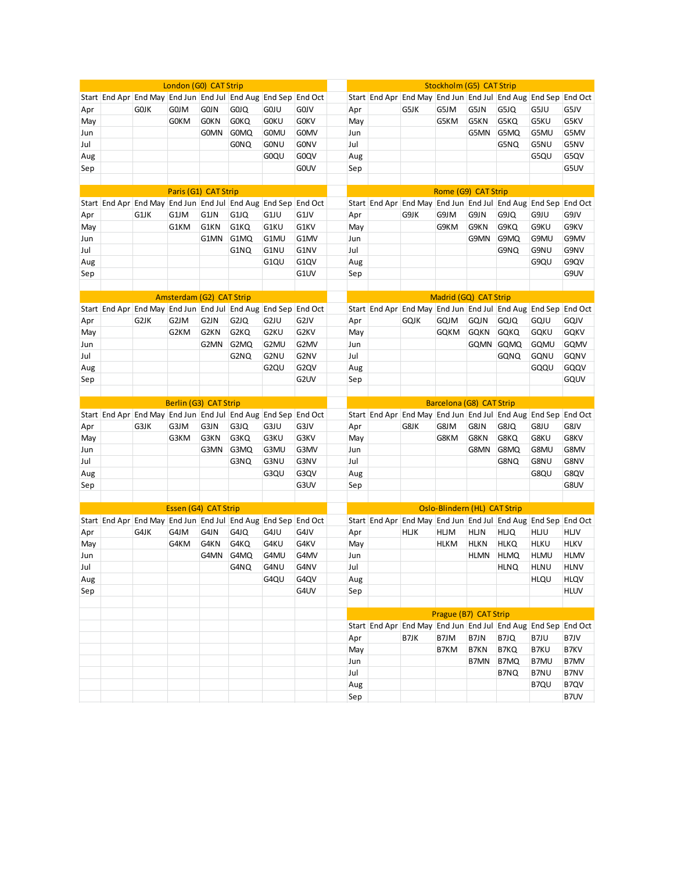| London (G0) CAT Strip<br>Stockholm (G5) CAT Strip<br>Start End Apr End May End Jun End Jul End Aug End Sep End Oct<br>Start End Apr End May End Jun End Jul End Aug End Sep End Oct<br><b>GOJM</b><br>G5JM<br>Apr<br><b>GOJK</b><br><b>GOJN</b><br>G0JQ<br><b>GOJU</b><br>GOJ V<br>Apr<br>G5JK<br>G5JN<br>G5JQ<br>G5JU<br><b>GOKN</b><br><b>GOKQ</b><br><b>GOKU</b><br><b>GOKV</b><br>G5KM<br>G5KQ<br><b>GOKM</b><br>May<br>G5KN<br>G5KU<br>May<br><b>GOMN</b><br>G0MQ<br><b>GOMU</b><br><b>GOMV</b><br>G5MN<br>G5MQ<br>G5MU<br>Jun<br>Jun<br>Jul<br><b>GONQ</b><br><b>GONU</b><br><b>GONV</b><br>Jul<br>G5NU<br>G5NQ<br>G0QU<br>G0QV<br>Aug<br>G5QU<br>Aug<br><b>GOUV</b><br>Sep<br>Sep<br>Paris (G1) CAT Strip<br>Rome (G9) CAT Strip<br>Start End Apr End May End Jun End Jul End Aug End Sep End Oct<br>Start End Apr End May End Jun End Jul End Aug End Sep End Oct<br>G9JM<br>Apr<br>G1JK<br>G1JM<br>G1JN<br>G1JQ<br>G1JU<br>G1JV<br>Apr<br>G9JK<br>G9JN<br>G9JQ<br>G9JU<br>G1KQ<br>G1KU<br>G1KV<br>G9KM<br>G9KQ<br>G9KU<br>G1KM<br>G1KN<br>May<br>G9KN<br>May<br>G1MQ<br>G1MU<br>G1MV<br>G9MN<br>G9MQ<br>G9MU<br>G1MN<br>Jun<br>Jun<br>Jul<br>G1NU<br>G1NV<br>Jul<br>G9NU<br>G1NQ<br>G9NQ<br>G1QU<br>G1QV<br>Aug<br>Aug<br>G9QU<br>G1UV<br>Sep<br>Sep<br>Amsterdam (G2) CAT Strip<br>Madrid (GQ) CAT Strip<br>Start End Apr End May End Jun End Jul End Aug End Sep End Oct<br>Start End Apr End May End Jun End Jul End Aug End Sep End Oct<br>G2JM<br>GQJM<br>G2JK<br>G2JN<br>G2JQ<br>G2JU<br>G2JV<br>Apr<br>gqjk<br><b>GQJN</b><br><b>GQJQ</b><br>GQJU<br>Apr<br>G2KM<br>G2KN<br>G2KQ<br>G2KU<br>G2KV<br><b>GQKM</b><br><b>GQKQ</b><br><b>GQKU</b><br>May<br><b>GQKN</b><br>May<br>G2MN<br>G2MQ<br>G2MU<br>G2MV<br>Jun<br>GQMN<br><b>GQMQ</b><br><b>GQMU</b><br>Jun<br>Jul<br>G2NU<br>G2NV<br>Jul<br>GQNU<br>G2NQ<br><b>GQNQ</b><br>G <sub>2QU</sub><br>G2QV<br>Aug<br>Aug<br>GQQU<br>G2UV<br>Sep<br>Sep | G5JV<br>G5KV<br>G5MV<br>G5NV<br>G5QV<br>G5UV<br>G9JV<br>G9KV<br>G9MV<br>G9NV<br>G9QV<br>G9UV<br>GQJV<br><b>GQKV</b><br><b>GQMV</b> |
|---------------------------------------------------------------------------------------------------------------------------------------------------------------------------------------------------------------------------------------------------------------------------------------------------------------------------------------------------------------------------------------------------------------------------------------------------------------------------------------------------------------------------------------------------------------------------------------------------------------------------------------------------------------------------------------------------------------------------------------------------------------------------------------------------------------------------------------------------------------------------------------------------------------------------------------------------------------------------------------------------------------------------------------------------------------------------------------------------------------------------------------------------------------------------------------------------------------------------------------------------------------------------------------------------------------------------------------------------------------------------------------------------------------------------------------------------------------------------------------------------------------------------------------------------------------------------------------------------------------------------------------------------------------------------------------------------------------------------------------------------------------------------------------------------------------------------------------------------------------------------------------------------------------------|------------------------------------------------------------------------------------------------------------------------------------|
|                                                                                                                                                                                                                                                                                                                                                                                                                                                                                                                                                                                                                                                                                                                                                                                                                                                                                                                                                                                                                                                                                                                                                                                                                                                                                                                                                                                                                                                                                                                                                                                                                                                                                                                                                                                                                                                                                                                     |                                                                                                                                    |
|                                                                                                                                                                                                                                                                                                                                                                                                                                                                                                                                                                                                                                                                                                                                                                                                                                                                                                                                                                                                                                                                                                                                                                                                                                                                                                                                                                                                                                                                                                                                                                                                                                                                                                                                                                                                                                                                                                                     |                                                                                                                                    |
|                                                                                                                                                                                                                                                                                                                                                                                                                                                                                                                                                                                                                                                                                                                                                                                                                                                                                                                                                                                                                                                                                                                                                                                                                                                                                                                                                                                                                                                                                                                                                                                                                                                                                                                                                                                                                                                                                                                     |                                                                                                                                    |
|                                                                                                                                                                                                                                                                                                                                                                                                                                                                                                                                                                                                                                                                                                                                                                                                                                                                                                                                                                                                                                                                                                                                                                                                                                                                                                                                                                                                                                                                                                                                                                                                                                                                                                                                                                                                                                                                                                                     |                                                                                                                                    |
|                                                                                                                                                                                                                                                                                                                                                                                                                                                                                                                                                                                                                                                                                                                                                                                                                                                                                                                                                                                                                                                                                                                                                                                                                                                                                                                                                                                                                                                                                                                                                                                                                                                                                                                                                                                                                                                                                                                     |                                                                                                                                    |
|                                                                                                                                                                                                                                                                                                                                                                                                                                                                                                                                                                                                                                                                                                                                                                                                                                                                                                                                                                                                                                                                                                                                                                                                                                                                                                                                                                                                                                                                                                                                                                                                                                                                                                                                                                                                                                                                                                                     |                                                                                                                                    |
|                                                                                                                                                                                                                                                                                                                                                                                                                                                                                                                                                                                                                                                                                                                                                                                                                                                                                                                                                                                                                                                                                                                                                                                                                                                                                                                                                                                                                                                                                                                                                                                                                                                                                                                                                                                                                                                                                                                     |                                                                                                                                    |
|                                                                                                                                                                                                                                                                                                                                                                                                                                                                                                                                                                                                                                                                                                                                                                                                                                                                                                                                                                                                                                                                                                                                                                                                                                                                                                                                                                                                                                                                                                                                                                                                                                                                                                                                                                                                                                                                                                                     |                                                                                                                                    |
|                                                                                                                                                                                                                                                                                                                                                                                                                                                                                                                                                                                                                                                                                                                                                                                                                                                                                                                                                                                                                                                                                                                                                                                                                                                                                                                                                                                                                                                                                                                                                                                                                                                                                                                                                                                                                                                                                                                     |                                                                                                                                    |
|                                                                                                                                                                                                                                                                                                                                                                                                                                                                                                                                                                                                                                                                                                                                                                                                                                                                                                                                                                                                                                                                                                                                                                                                                                                                                                                                                                                                                                                                                                                                                                                                                                                                                                                                                                                                                                                                                                                     |                                                                                                                                    |
|                                                                                                                                                                                                                                                                                                                                                                                                                                                                                                                                                                                                                                                                                                                                                                                                                                                                                                                                                                                                                                                                                                                                                                                                                                                                                                                                                                                                                                                                                                                                                                                                                                                                                                                                                                                                                                                                                                                     |                                                                                                                                    |
|                                                                                                                                                                                                                                                                                                                                                                                                                                                                                                                                                                                                                                                                                                                                                                                                                                                                                                                                                                                                                                                                                                                                                                                                                                                                                                                                                                                                                                                                                                                                                                                                                                                                                                                                                                                                                                                                                                                     |                                                                                                                                    |
|                                                                                                                                                                                                                                                                                                                                                                                                                                                                                                                                                                                                                                                                                                                                                                                                                                                                                                                                                                                                                                                                                                                                                                                                                                                                                                                                                                                                                                                                                                                                                                                                                                                                                                                                                                                                                                                                                                                     |                                                                                                                                    |
|                                                                                                                                                                                                                                                                                                                                                                                                                                                                                                                                                                                                                                                                                                                                                                                                                                                                                                                                                                                                                                                                                                                                                                                                                                                                                                                                                                                                                                                                                                                                                                                                                                                                                                                                                                                                                                                                                                                     |                                                                                                                                    |
|                                                                                                                                                                                                                                                                                                                                                                                                                                                                                                                                                                                                                                                                                                                                                                                                                                                                                                                                                                                                                                                                                                                                                                                                                                                                                                                                                                                                                                                                                                                                                                                                                                                                                                                                                                                                                                                                                                                     |                                                                                                                                    |
|                                                                                                                                                                                                                                                                                                                                                                                                                                                                                                                                                                                                                                                                                                                                                                                                                                                                                                                                                                                                                                                                                                                                                                                                                                                                                                                                                                                                                                                                                                                                                                                                                                                                                                                                                                                                                                                                                                                     |                                                                                                                                    |
|                                                                                                                                                                                                                                                                                                                                                                                                                                                                                                                                                                                                                                                                                                                                                                                                                                                                                                                                                                                                                                                                                                                                                                                                                                                                                                                                                                                                                                                                                                                                                                                                                                                                                                                                                                                                                                                                                                                     |                                                                                                                                    |
|                                                                                                                                                                                                                                                                                                                                                                                                                                                                                                                                                                                                                                                                                                                                                                                                                                                                                                                                                                                                                                                                                                                                                                                                                                                                                                                                                                                                                                                                                                                                                                                                                                                                                                                                                                                                                                                                                                                     |                                                                                                                                    |
|                                                                                                                                                                                                                                                                                                                                                                                                                                                                                                                                                                                                                                                                                                                                                                                                                                                                                                                                                                                                                                                                                                                                                                                                                                                                                                                                                                                                                                                                                                                                                                                                                                                                                                                                                                                                                                                                                                                     |                                                                                                                                    |
|                                                                                                                                                                                                                                                                                                                                                                                                                                                                                                                                                                                                                                                                                                                                                                                                                                                                                                                                                                                                                                                                                                                                                                                                                                                                                                                                                                                                                                                                                                                                                                                                                                                                                                                                                                                                                                                                                                                     |                                                                                                                                    |
|                                                                                                                                                                                                                                                                                                                                                                                                                                                                                                                                                                                                                                                                                                                                                                                                                                                                                                                                                                                                                                                                                                                                                                                                                                                                                                                                                                                                                                                                                                                                                                                                                                                                                                                                                                                                                                                                                                                     |                                                                                                                                    |
|                                                                                                                                                                                                                                                                                                                                                                                                                                                                                                                                                                                                                                                                                                                                                                                                                                                                                                                                                                                                                                                                                                                                                                                                                                                                                                                                                                                                                                                                                                                                                                                                                                                                                                                                                                                                                                                                                                                     |                                                                                                                                    |
|                                                                                                                                                                                                                                                                                                                                                                                                                                                                                                                                                                                                                                                                                                                                                                                                                                                                                                                                                                                                                                                                                                                                                                                                                                                                                                                                                                                                                                                                                                                                                                                                                                                                                                                                                                                                                                                                                                                     |                                                                                                                                    |
|                                                                                                                                                                                                                                                                                                                                                                                                                                                                                                                                                                                                                                                                                                                                                                                                                                                                                                                                                                                                                                                                                                                                                                                                                                                                                                                                                                                                                                                                                                                                                                                                                                                                                                                                                                                                                                                                                                                     | GQNV                                                                                                                               |
|                                                                                                                                                                                                                                                                                                                                                                                                                                                                                                                                                                                                                                                                                                                                                                                                                                                                                                                                                                                                                                                                                                                                                                                                                                                                                                                                                                                                                                                                                                                                                                                                                                                                                                                                                                                                                                                                                                                     | GQQV                                                                                                                               |
|                                                                                                                                                                                                                                                                                                                                                                                                                                                                                                                                                                                                                                                                                                                                                                                                                                                                                                                                                                                                                                                                                                                                                                                                                                                                                                                                                                                                                                                                                                                                                                                                                                                                                                                                                                                                                                                                                                                     | GQUV                                                                                                                               |
|                                                                                                                                                                                                                                                                                                                                                                                                                                                                                                                                                                                                                                                                                                                                                                                                                                                                                                                                                                                                                                                                                                                                                                                                                                                                                                                                                                                                                                                                                                                                                                                                                                                                                                                                                                                                                                                                                                                     |                                                                                                                                    |
| Berlin (G3) CAT Strip<br>Barcelona (G8) CAT Strip                                                                                                                                                                                                                                                                                                                                                                                                                                                                                                                                                                                                                                                                                                                                                                                                                                                                                                                                                                                                                                                                                                                                                                                                                                                                                                                                                                                                                                                                                                                                                                                                                                                                                                                                                                                                                                                                   |                                                                                                                                    |
| Start End Apr End May End Jun End Jul End Aug End Sep End Oct<br>Start End Apr End May End Jun End Jul End Aug End Sep End Oct                                                                                                                                                                                                                                                                                                                                                                                                                                                                                                                                                                                                                                                                                                                                                                                                                                                                                                                                                                                                                                                                                                                                                                                                                                                                                                                                                                                                                                                                                                                                                                                                                                                                                                                                                                                      |                                                                                                                                    |
| G8JM<br>G3JK<br>G3JM<br>G3JN<br>G3JQ<br>G3JU<br>G3JV<br>Apr<br>G8JK<br>G8JN<br>G8JQ<br>G8JU<br>Apr                                                                                                                                                                                                                                                                                                                                                                                                                                                                                                                                                                                                                                                                                                                                                                                                                                                                                                                                                                                                                                                                                                                                                                                                                                                                                                                                                                                                                                                                                                                                                                                                                                                                                                                                                                                                                  | G8JV                                                                                                                               |
| G3KQ<br>G3KU<br>G8KM<br>G8KQ<br>G3KM<br>G3KN<br>G3KV<br>May<br>G8KN<br>G8KU<br>May                                                                                                                                                                                                                                                                                                                                                                                                                                                                                                                                                                                                                                                                                                                                                                                                                                                                                                                                                                                                                                                                                                                                                                                                                                                                                                                                                                                                                                                                                                                                                                                                                                                                                                                                                                                                                                  | G8KV                                                                                                                               |
| G3MN<br>G3MQ<br>G3MU<br>G3MV<br>G8MN<br>G8MQ<br>G8MU<br>Jun<br>Jun                                                                                                                                                                                                                                                                                                                                                                                                                                                                                                                                                                                                                                                                                                                                                                                                                                                                                                                                                                                                                                                                                                                                                                                                                                                                                                                                                                                                                                                                                                                                                                                                                                                                                                                                                                                                                                                  | G8MV                                                                                                                               |
| Jul<br>Jul<br>G3NU<br>G3NV<br>G8NU<br>G3NQ<br>G8NQ                                                                                                                                                                                                                                                                                                                                                                                                                                                                                                                                                                                                                                                                                                                                                                                                                                                                                                                                                                                                                                                                                                                                                                                                                                                                                                                                                                                                                                                                                                                                                                                                                                                                                                                                                                                                                                                                  | G8NV                                                                                                                               |
| G3QU<br>G3QV<br>Aug<br>G8QU<br>Aug                                                                                                                                                                                                                                                                                                                                                                                                                                                                                                                                                                                                                                                                                                                                                                                                                                                                                                                                                                                                                                                                                                                                                                                                                                                                                                                                                                                                                                                                                                                                                                                                                                                                                                                                                                                                                                                                                  | G8QV                                                                                                                               |
| G3UV<br>Sep<br>Sep                                                                                                                                                                                                                                                                                                                                                                                                                                                                                                                                                                                                                                                                                                                                                                                                                                                                                                                                                                                                                                                                                                                                                                                                                                                                                                                                                                                                                                                                                                                                                                                                                                                                                                                                                                                                                                                                                                  | G8UV                                                                                                                               |
|                                                                                                                                                                                                                                                                                                                                                                                                                                                                                                                                                                                                                                                                                                                                                                                                                                                                                                                                                                                                                                                                                                                                                                                                                                                                                                                                                                                                                                                                                                                                                                                                                                                                                                                                                                                                                                                                                                                     |                                                                                                                                    |
| Oslo-Blindern (HL) CAT Strip<br>Essen (G4) CAT Strip                                                                                                                                                                                                                                                                                                                                                                                                                                                                                                                                                                                                                                                                                                                                                                                                                                                                                                                                                                                                                                                                                                                                                                                                                                                                                                                                                                                                                                                                                                                                                                                                                                                                                                                                                                                                                                                                |                                                                                                                                    |
| Start End Apr End May End Jun End Jul End Aug End Sep End Oct<br>Start End Apr End May End Jun End Jul End Aug End Sep End Oct                                                                                                                                                                                                                                                                                                                                                                                                                                                                                                                                                                                                                                                                                                                                                                                                                                                                                                                                                                                                                                                                                                                                                                                                                                                                                                                                                                                                                                                                                                                                                                                                                                                                                                                                                                                      |                                                                                                                                    |
| G4JM<br>G4JK<br>G4JN<br>G4JQ<br>G4JU<br>G4JV<br>Apr<br>HUK<br>HUM<br>HUN<br>HLJQ<br>HLJU<br>Apr                                                                                                                                                                                                                                                                                                                                                                                                                                                                                                                                                                                                                                                                                                                                                                                                                                                                                                                                                                                                                                                                                                                                                                                                                                                                                                                                                                                                                                                                                                                                                                                                                                                                                                                                                                                                                     | <b>HLJV</b>                                                                                                                        |
| G4KN<br>G4KQ<br>G4KU<br>G4KM<br>G4KV<br>May<br><b>HLKM</b><br><b>HLKN</b><br><b>HLKQ</b><br><b>HLKU</b><br>May                                                                                                                                                                                                                                                                                                                                                                                                                                                                                                                                                                                                                                                                                                                                                                                                                                                                                                                                                                                                                                                                                                                                                                                                                                                                                                                                                                                                                                                                                                                                                                                                                                                                                                                                                                                                      | <b>HLKV</b>                                                                                                                        |
| G4MN<br>G4MQ<br>G4MU<br>G4MV<br>Jun<br><b>HLMN</b><br><b>HLMQ</b><br><b>HLMU</b><br>Jun                                                                                                                                                                                                                                                                                                                                                                                                                                                                                                                                                                                                                                                                                                                                                                                                                                                                                                                                                                                                                                                                                                                                                                                                                                                                                                                                                                                                                                                                                                                                                                                                                                                                                                                                                                                                                             | <b>HLMV</b>                                                                                                                        |
| G4NV<br>Jul<br><b>HLNQ</b><br>G4NQ<br>G4NU<br><b>HLNU</b><br>Jul                                                                                                                                                                                                                                                                                                                                                                                                                                                                                                                                                                                                                                                                                                                                                                                                                                                                                                                                                                                                                                                                                                                                                                                                                                                                                                                                                                                                                                                                                                                                                                                                                                                                                                                                                                                                                                                    | <b>HLNV</b>                                                                                                                        |
| G4QU<br>G4QV<br>Aug<br>Aug<br><b>HLQU</b>                                                                                                                                                                                                                                                                                                                                                                                                                                                                                                                                                                                                                                                                                                                                                                                                                                                                                                                                                                                                                                                                                                                                                                                                                                                                                                                                                                                                                                                                                                                                                                                                                                                                                                                                                                                                                                                                           | <b>HLQV</b>                                                                                                                        |
| G4UV<br>Sep<br>Sep                                                                                                                                                                                                                                                                                                                                                                                                                                                                                                                                                                                                                                                                                                                                                                                                                                                                                                                                                                                                                                                                                                                                                                                                                                                                                                                                                                                                                                                                                                                                                                                                                                                                                                                                                                                                                                                                                                  | <b>HLUV</b>                                                                                                                        |
|                                                                                                                                                                                                                                                                                                                                                                                                                                                                                                                                                                                                                                                                                                                                                                                                                                                                                                                                                                                                                                                                                                                                                                                                                                                                                                                                                                                                                                                                                                                                                                                                                                                                                                                                                                                                                                                                                                                     |                                                                                                                                    |
| Prague (B7) CAT Strip                                                                                                                                                                                                                                                                                                                                                                                                                                                                                                                                                                                                                                                                                                                                                                                                                                                                                                                                                                                                                                                                                                                                                                                                                                                                                                                                                                                                                                                                                                                                                                                                                                                                                                                                                                                                                                                                                               |                                                                                                                                    |
| Start End Apr End May End Jun End Jul End Aug End Sep End Oct                                                                                                                                                                                                                                                                                                                                                                                                                                                                                                                                                                                                                                                                                                                                                                                                                                                                                                                                                                                                                                                                                                                                                                                                                                                                                                                                                                                                                                                                                                                                                                                                                                                                                                                                                                                                                                                       |                                                                                                                                    |
| B7JM<br>Apr<br>B7JK<br>B7JN<br>B7JQ<br>B7JU                                                                                                                                                                                                                                                                                                                                                                                                                                                                                                                                                                                                                                                                                                                                                                                                                                                                                                                                                                                                                                                                                                                                                                                                                                                                                                                                                                                                                                                                                                                                                                                                                                                                                                                                                                                                                                                                         | B7JV                                                                                                                               |
| May<br>B7KM<br><b>B7KN</b><br>B7KQ<br><b>B7KU</b>                                                                                                                                                                                                                                                                                                                                                                                                                                                                                                                                                                                                                                                                                                                                                                                                                                                                                                                                                                                                                                                                                                                                                                                                                                                                                                                                                                                                                                                                                                                                                                                                                                                                                                                                                                                                                                                                   | B7KV                                                                                                                               |
| Jun<br>B7MN<br>B7MQ<br>B7MU                                                                                                                                                                                                                                                                                                                                                                                                                                                                                                                                                                                                                                                                                                                                                                                                                                                                                                                                                                                                                                                                                                                                                                                                                                                                                                                                                                                                                                                                                                                                                                                                                                                                                                                                                                                                                                                                                         | B7MV                                                                                                                               |
| Jul<br>B7NQ<br>B7NU                                                                                                                                                                                                                                                                                                                                                                                                                                                                                                                                                                                                                                                                                                                                                                                                                                                                                                                                                                                                                                                                                                                                                                                                                                                                                                                                                                                                                                                                                                                                                                                                                                                                                                                                                                                                                                                                                                 | B7NV                                                                                                                               |
| Aug<br>B7QU                                                                                                                                                                                                                                                                                                                                                                                                                                                                                                                                                                                                                                                                                                                                                                                                                                                                                                                                                                                                                                                                                                                                                                                                                                                                                                                                                                                                                                                                                                                                                                                                                                                                                                                                                                                                                                                                                                         | B7QV                                                                                                                               |
| Sep                                                                                                                                                                                                                                                                                                                                                                                                                                                                                                                                                                                                                                                                                                                                                                                                                                                                                                                                                                                                                                                                                                                                                                                                                                                                                                                                                                                                                                                                                                                                                                                                                                                                                                                                                                                                                                                                                                                 | B7UV                                                                                                                               |